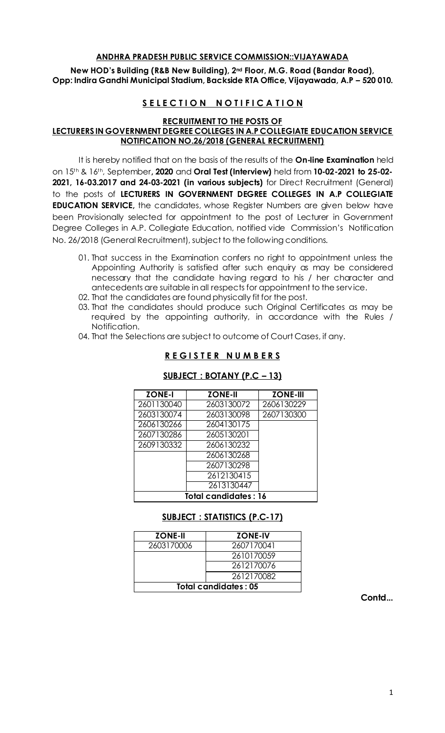# **ANDHRA PRADESH PUBLIC SERVICE COMMISSION::VIJAYAWADA**

**New HOD's Building (R&B New Building), 2nd Floor, M.G. Road (Bandar Road), Opp: Indira Gandhi Municipal Stadium, Backside RTA Office, Vijayawada, A.P – 520 010.** 

# **SELECTION NOTIFICATION**

**RECRUITMENT TO THE POSTS OF** 

# **LECTURERS IN GOVERNMENT DEGREE COLLEGES IN A.P COLLEGIATE EDUCATION SERVICE NOTIFICATION NO.26/2018 (GENERAL RECRUITMENT)**

It is hereby notified that on the basis of the results of the **On-line Examination** held on 15th & 16th, September**, 2020** and **Oral Test (Interview)** held from **10-02-2021 to 25-02- 2021, 16-03.2017 and 24-03-2021 (in various subjects)** for Direct Recruitment (General) to the posts of **LECTURERS IN GOVERNMENT DEGREE COLLEGES IN A.P COLLEGIATE EDUCATION SERVICE,** the candidates, whose Register Numbers are given below have been Provisionally selected for appointment to the post of Lecturer in Government Degree Colleges in A.P. Collegiate Education, notified vide Commission's Notification No. 26/2018 (General Recruitment), subject to the following conditions.

- 01. That success in the Examination confers no right to appointment unless the Appointing Authority is satisfied after such enquiry as may be considered necessary that the candidate having regard to his / her character and antecedents are suitable in all respects for appointment to the service.
- 02. That the candidates are found physically fit for the post.
- 03. That the candidates should produce such Original Certificates as may be required by the appointing authority, in accordance with the Rules / Notification.
- 04. That the Selections are subject to outcome of Court Cases, if any.

# **R E G I S T E R N U M B E R S**

| <b>ZONE-I</b>               | <b>ZONE-II</b> | <b>ZONE-III</b> |
|-----------------------------|----------------|-----------------|
| 2601130040                  | 2603130072     | 2606130229      |
| 2603130074                  | 2603130098     | 2607130300      |
| 2606130266                  | 2604130175     |                 |
| 2607130286                  | 2605130201     |                 |
| 2609130332                  | 2606130232     |                 |
|                             | 2606130268     |                 |
|                             | 2607130298     |                 |
|                             | 2612130415     |                 |
|                             | 2613130447     |                 |
| <b>Total candidates: 16</b> |                |                 |

#### **SUBJECT : BOTANY (P.C – 13)**

# **SUBJECT : STATISTICS (P.C-17)**

| <b>ZONE-II</b>              | <b>ZONE-IV</b> |  |
|-----------------------------|----------------|--|
| 2603170006                  | 2607170041     |  |
|                             | 2610170059     |  |
|                             | 2612170076     |  |
|                             | 2612170082     |  |
| <b>Total candidates: 05</b> |                |  |

 **Contd...**